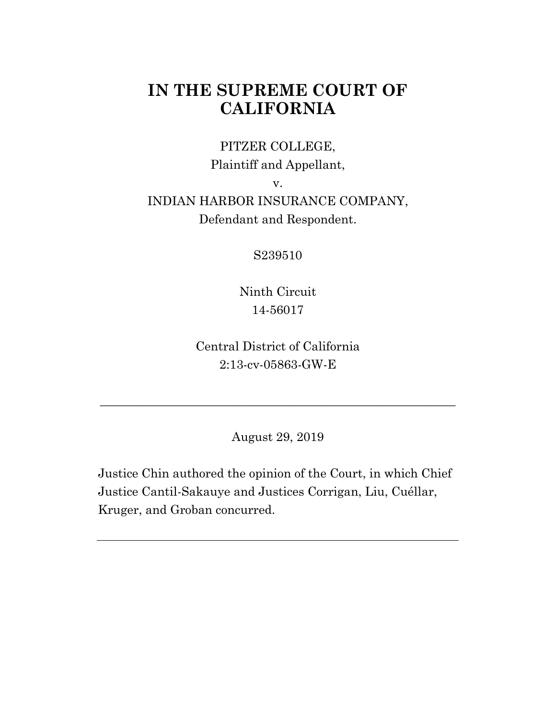# **IN THE SUPREME COURT OF CALIFORNIA**

### PITZER COLLEGE,

Plaintiff and Appellant,

v.

## INDIAN HARBOR INSURANCE COMPANY, Defendant and Respondent.

S239510

Ninth Circuit 14-56017

Central District of California 2:13-cv-05863-GW-E

August 29, 2019

\_\_\_\_\_\_\_\_\_\_\_\_\_\_\_\_\_\_\_\_\_\_\_\_\_\_\_\_\_\_\_\_\_\_\_\_\_\_\_\_\_\_\_\_\_\_\_\_\_\_\_\_\_\_\_\_\_\_

Justice Chin authored the opinion of the Court, in which Chief Justice Cantil-Sakauye and Justices Corrigan, Liu, Cuéllar, Kruger, and Groban concurred.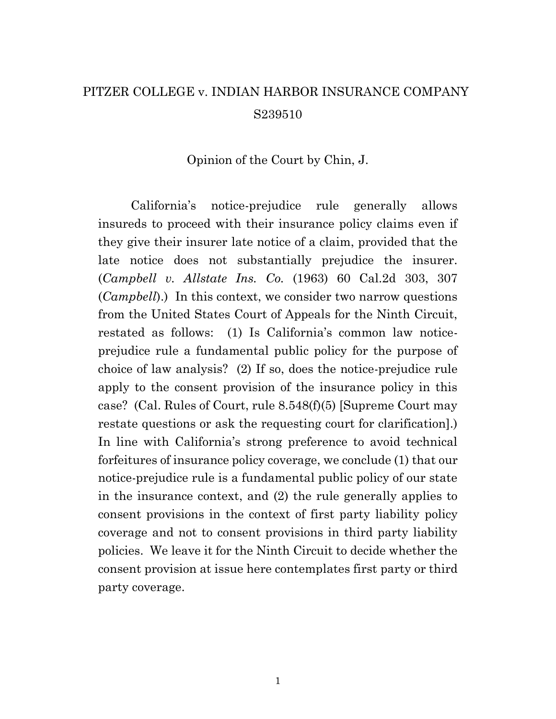# PITZER COLLEGE v. INDIAN HARBOR INSURANCE COMPANY S239510

#### Opinion of the Court by Chin, J.

California's notice-prejudice rule generally allows insureds to proceed with their insurance policy claims even if they give their insurer late notice of a claim, provided that the late notice does not substantially prejudice the insurer. (*Campbell v. Allstate Ins. Co.* (1963) 60 Cal.2d 303, 307 (*Campbell*).) In this context, we consider two narrow questions from the United States Court of Appeals for the Ninth Circuit, restated as follows: (1) Is California's common law noticeprejudice rule a fundamental public policy for the purpose of choice of law analysis? (2) If so, does the notice-prejudice rule apply to the consent provision of the insurance policy in this case? (Cal. Rules of Court, rule 8.548(f)(5) [Supreme Court may restate questions or ask the requesting court for clarification].) In line with California's strong preference to avoid technical forfeitures of insurance policy coverage, we conclude (1) that our notice-prejudice rule is a fundamental public policy of our state in the insurance context, and (2) the rule generally applies to consent provisions in the context of first party liability policy coverage and not to consent provisions in third party liability policies. We leave it for the Ninth Circuit to decide whether the consent provision at issue here contemplates first party or third party coverage.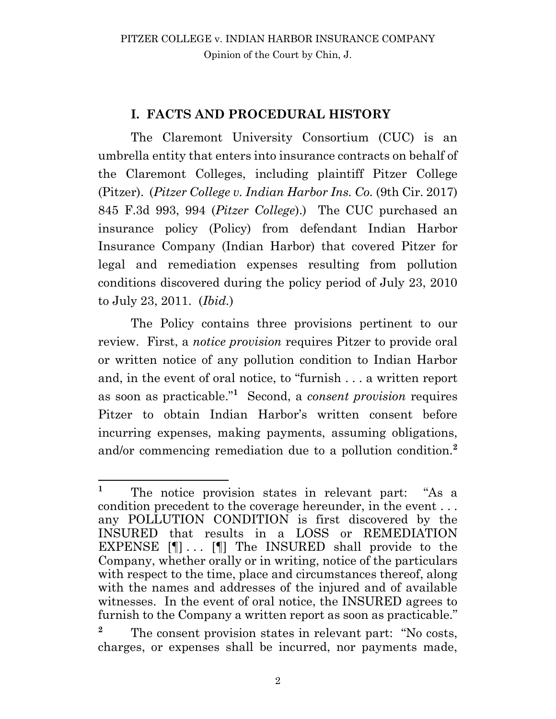## **I. FACTS AND PROCEDURAL HISTORY**

The Claremont University Consortium (CUC) is an umbrella entity that enters into insurance contracts on behalf of the Claremont Colleges, including plaintiff Pitzer College (Pitzer). (*Pitzer College v. Indian Harbor Ins. Co.* (9th Cir. 2017) 845 F.3d 993, 994 (*Pitzer College*).) The CUC purchased an insurance policy (Policy) from defendant Indian Harbor Insurance Company (Indian Harbor) that covered Pitzer for legal and remediation expenses resulting from pollution conditions discovered during the policy period of July 23, 2010 to July 23, 2011. (*Ibid.*)

The Policy contains three provisions pertinent to our review. First, a *notice provision* requires Pitzer to provide oral or written notice of any pollution condition to Indian Harbor and, in the event of oral notice, to "furnish . . . a written report as soon as practicable."**<sup>1</sup>** Second, a *consent provision* requires Pitzer to obtain Indian Harbor's written consent before incurring expenses, making payments, assuming obligations, and/or commencing remediation due to a pollution condition.**<sup>2</sup>**

 $\mathbf{1}$ **<sup>1</sup>** The notice provision states in relevant part: "As a condition precedent to the coverage hereunder, in the event . . . any POLLUTION CONDITION is first discovered by the INSURED that results in a LOSS or REMEDIATION EXPENSE [¶] . . . [¶] The INSURED shall provide to the Company, whether orally or in writing, notice of the particulars with respect to the time, place and circumstances thereof, along with the names and addresses of the injured and of available witnesses. In the event of oral notice, the INSURED agrees to furnish to the Company a written report as soon as practicable."

<sup>&</sup>lt;sup>2</sup> The consent provision states in relevant part: "No costs, charges, or expenses shall be incurred, nor payments made,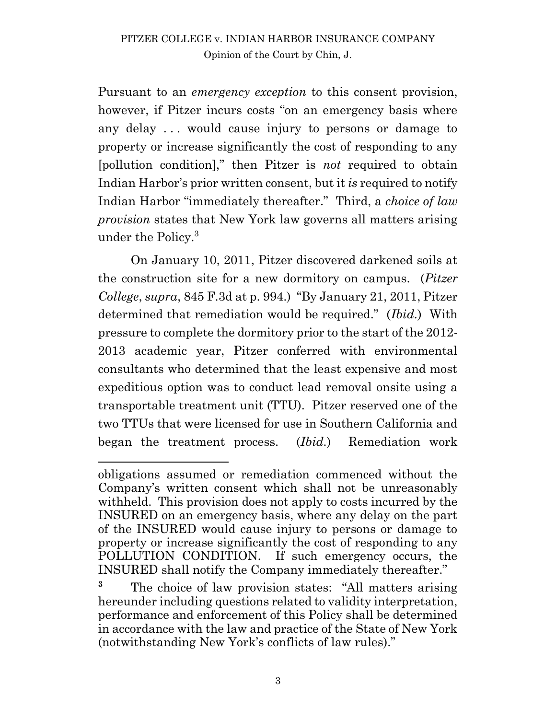Pursuant to an *emergency exception* to this consent provision, however, if Pitzer incurs costs "on an emergency basis where any delay . . . would cause injury to persons or damage to property or increase significantly the cost of responding to any [pollution condition]," then Pitzer is *not* required to obtain Indian Harbor's prior written consent, but it *is* required to notify Indian Harbor "immediately thereafter." Third, a *choice of law provision* states that New York law governs all matters arising under the Policy.<sup>3</sup>

On January 10, 2011, Pitzer discovered darkened soils at the construction site for a new dormitory on campus. (*Pitzer College*, *supra*, 845 F.3d at p. 994.) "By January 21, 2011, Pitzer determined that remediation would be required." (*Ibid.*) With pressure to complete the dormitory prior to the start of the 2012- 2013 academic year, Pitzer conferred with environmental consultants who determined that the least expensive and most expeditious option was to conduct lead removal onsite using a transportable treatment unit (TTU). Pitzer reserved one of the two TTUs that were licensed for use in Southern California and began the treatment process. (*Ibid.*) Remediation work

 $\overline{a}$ 

obligations assumed or remediation commenced without the Company's written consent which shall not be unreasonably withheld. This provision does not apply to costs incurred by the INSURED on an emergency basis, where any delay on the part of the INSURED would cause injury to persons or damage to property or increase significantly the cost of responding to any POLLUTION CONDITION. If such emergency occurs, the INSURED shall notify the Company immediately thereafter."

<sup>&</sup>lt;sup>3</sup> The choice of law provision states: "All matters arising" hereunder including questions related to validity interpretation, performance and enforcement of this Policy shall be determined in accordance with the law and practice of the State of New York (notwithstanding New York's conflicts of law rules)."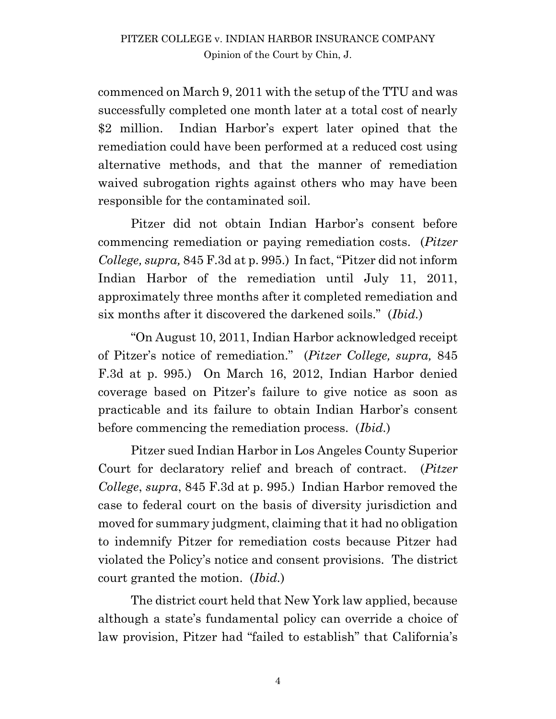commenced on March 9, 2011 with the setup of the TTU and was successfully completed one month later at a total cost of nearly \$2 million. Indian Harbor's expert later opined that the remediation could have been performed at a reduced cost using alternative methods, and that the manner of remediation waived subrogation rights against others who may have been responsible for the contaminated soil.

Pitzer did not obtain Indian Harbor's consent before commencing remediation or paying remediation costs. (*Pitzer College, supra,* 845 F.3d at p. 995.) In fact, "Pitzer did not inform Indian Harbor of the remediation until July 11, 2011, approximately three months after it completed remediation and six months after it discovered the darkened soils." (*Ibid.*)

"On August 10, 2011, Indian Harbor acknowledged receipt of Pitzer's notice of remediation." (*Pitzer College, supra,* 845 F.3d at p. 995.) On March 16, 2012, Indian Harbor denied coverage based on Pitzer's failure to give notice as soon as practicable and its failure to obtain Indian Harbor's consent before commencing the remediation process. (*Ibid.*)

Pitzer sued Indian Harbor in Los Angeles County Superior Court for declaratory relief and breach of contract. (*Pitzer College*, *supra*, 845 F.3d at p. 995.) Indian Harbor removed the case to federal court on the basis of diversity jurisdiction and moved for summary judgment, claiming that it had no obligation to indemnify Pitzer for remediation costs because Pitzer had violated the Policy's notice and consent provisions. The district court granted the motion. (*Ibid.*)

The district court held that New York law applied, because although a state's fundamental policy can override a choice of law provision, Pitzer had "failed to establish" that California's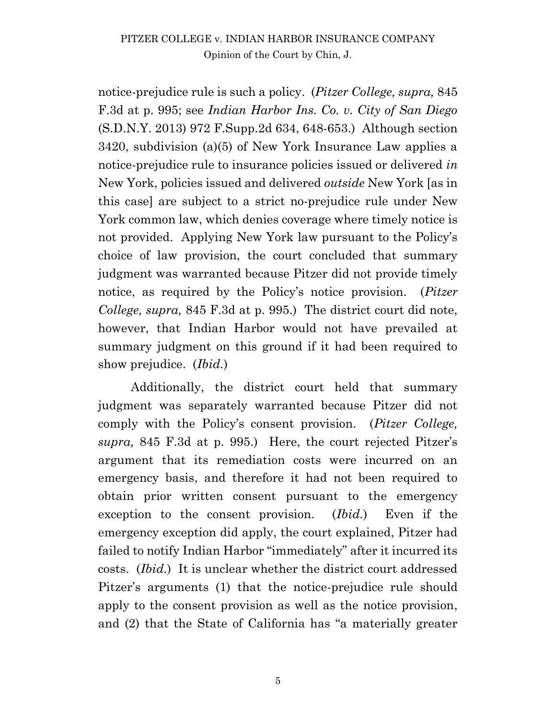notice-prejudice rule is such a policy. (*Pitzer College, supra,* 845 F.3d at p. 995; see *Indian Harbor Ins. Co. v. City of San Diego*  (S.D.N.Y. 2013) 972 F.Supp.2d 634, 648-653.) Although section 3420, subdivision (a)(5) of New York Insurance Law applies a notice-prejudice rule to insurance policies issued or delivered *in* New York, policies issued and delivered *outside* New York [as in this case] are subject to a strict no-prejudice rule under New York common law, which denies coverage where timely notice is not provided. Applying New York law pursuant to the Policy's choice of law provision, the court concluded that summary judgment was warranted because Pitzer did not provide timely notice, as required by the Policy's notice provision. (*Pitzer College, supra,* 845 F.3d at p. 995.) The district court did note, however, that Indian Harbor would not have prevailed at summary judgment on this ground if it had been required to show prejudice. (*Ibid.*)

Additionally, the district court held that summary judgment was separately warranted because Pitzer did not comply with the Policy's consent provision. (*Pitzer College, supra,* 845 F.3d at p. 995.) Here, the court rejected Pitzer's argument that its remediation costs were incurred on an emergency basis, and therefore it had not been required to obtain prior written consent pursuant to the emergency exception to the consent provision. (*Ibid.*) Even if the emergency exception did apply, the court explained, Pitzer had failed to notify Indian Harbor "immediately" after it incurred its costs. (*Ibid.*) It is unclear whether the district court addressed Pitzer's arguments (1) that the notice-prejudice rule should apply to the consent provision as well as the notice provision, and (2) that the State of California has "a materially greater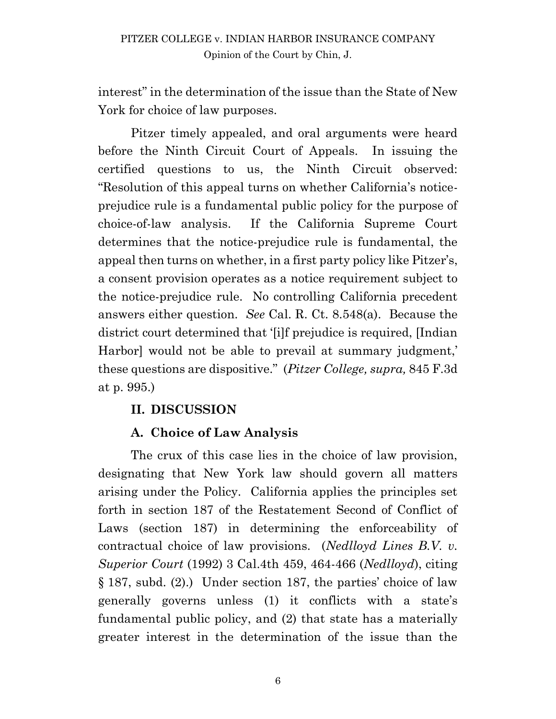interest" in the determination of the issue than the State of New York for choice of law purposes.

Pitzer timely appealed, and oral arguments were heard before the Ninth Circuit Court of Appeals. In issuing the certified questions to us, the Ninth Circuit observed: "Resolution of this appeal turns on whether California's noticeprejudice rule is a fundamental public policy for the purpose of choice-of-law analysis. If the California Supreme Court determines that the notice-prejudice rule is fundamental, the appeal then turns on whether, in a first party policy like Pitzer's, a consent provision operates as a notice requirement subject to the notice-prejudice rule. No controlling California precedent answers either question. *See* Cal. R. Ct. 8.548(a).Because the district court determined that '[i]f prejudice is required, [Indian Harbor] would not be able to prevail at summary judgment,' these questions are dispositive." (*Pitzer College, supra,* 845 F.3d at p. 995.)

## **II. DISCUSSION**

## **A. Choice of Law Analysis**

The crux of this case lies in the choice of law provision, designating that New York law should govern all matters arising under the Policy. California applies the principles set forth in section 187 of the Restatement Second of Conflict of Laws (section 187) in determining the enforceability of contractual choice of law provisions. (*Nedlloyd Lines B.V. v. Superior Court* (1992) 3 Cal.4th 459, 464-466 (*Nedlloyd*), citing § 187, subd. (2).) Under section 187, the parties' choice of law generally governs unless (1) it conflicts with a state's fundamental public policy, and (2) that state has a materially greater interest in the determination of the issue than the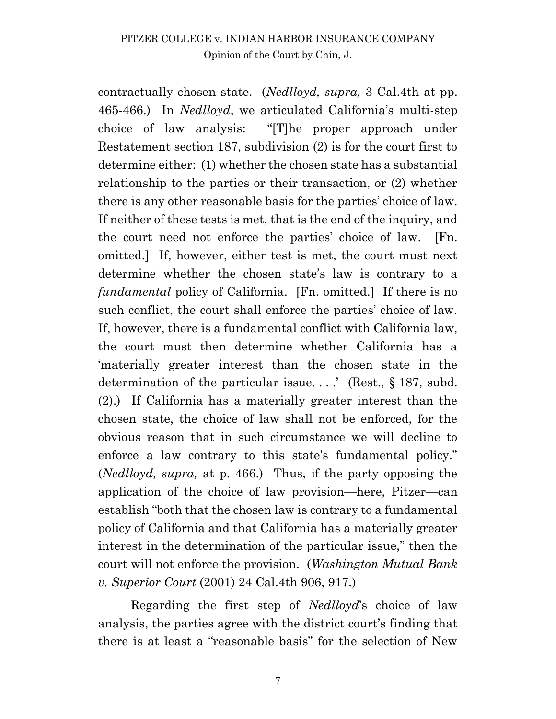contractually chosen state. (*Nedlloyd, supra,* 3 Cal.4th at pp. 465-466.) In *Nedlloyd*, we articulated California's multi-step choice of law analysis: "[T]he proper approach under Restatement section 187, subdivision (2) is for the court first to determine either: (1) whether the chosen state has a substantial relationship to the parties or their transaction, or (2) whether there is any other reasonable basis for the parties' choice of law. If neither of these tests is met, that is the end of the inquiry, and the court need not enforce the parties' choice of law. [Fn. omitted.] If, however, either test is met, the court must next determine whether the chosen state's law is contrary to a *fundamental* policy of California. [Fn. omitted.] If there is no such conflict, the court shall enforce the parties' choice of law. If, however, there is a fundamental conflict with California law, the court must then determine whether California has a 'materially greater interest than the chosen state in the determination of the particular issue....' (Rest., § 187, subd.) (2).) If California has a materially greater interest than the chosen state, the choice of law shall not be enforced, for the obvious reason that in such circumstance we will decline to enforce a law contrary to this state's fundamental policy." (*Nedlloyd, supra,* at p. 466.) Thus, if the party opposing the application of the choice of law provision—here, Pitzer—can establish "both that the chosen law is contrary to a fundamental policy of California and that California has a materially greater interest in the determination of the particular issue," then the court will not enforce the provision. (*Washington Mutual Bank v. Superior Court* (2001) 24 Cal.4th 906, 917.)

Regarding the first step of *Nedlloyd*'s choice of law analysis, the parties agree with the district court's finding that there is at least a "reasonable basis" for the selection of New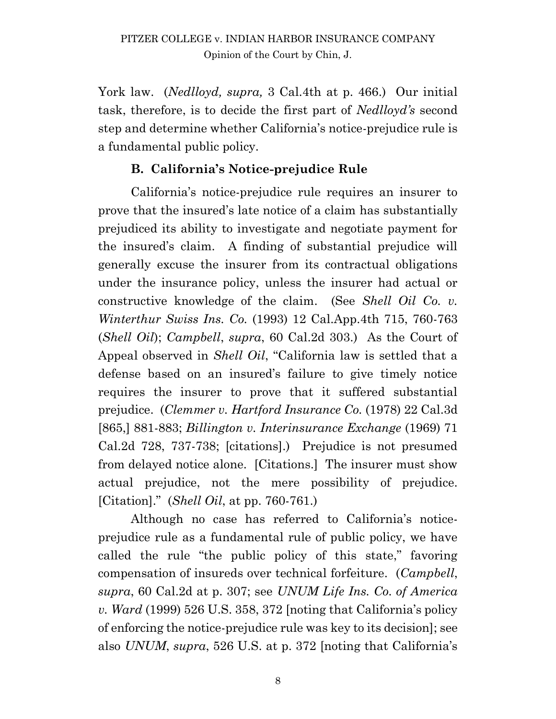York law. (*Nedlloyd, supra,* 3 Cal.4th at p. 466.) Our initial task, therefore, is to decide the first part of *Nedlloyd's* second step and determine whether California's notice-prejudice rule is a fundamental public policy.

## **B. California's Notice-prejudice Rule**

California's notice-prejudice rule requires an insurer to prove that the insured's late notice of a claim has substantially prejudiced its ability to investigate and negotiate payment for the insured's claim. A finding of substantial prejudice will generally excuse the insurer from its contractual obligations under the insurance policy, unless the insurer had actual or constructive knowledge of the claim. (See *Shell Oil Co. v. Winterthur Swiss Ins. Co.* (1993) 12 Cal.App.4th 715, 760-763 (*Shell Oil*); *Campbell*, *supra*, 60 Cal.2d 303.) As the Court of Appeal observed in *Shell Oil*, "California law is settled that a defense based on an insured's failure to give timely notice requires the insurer to prove that it suffered substantial prejudice. (*Clemmer v. Hartford Insurance Co.* (1978) 22 Cal.3d [865,] 881-883; *Billington v. Interinsurance Exchange* (1969) 71 Cal.2d 728, 737-738; [citations].) Prejudice is not presumed from delayed notice alone. [Citations.] The insurer must show actual prejudice, not the mere possibility of prejudice. [Citation]." (*Shell Oil*, at pp. 760-761.)

Although no case has referred to California's noticeprejudice rule as a fundamental rule of public policy, we have called the rule "the public policy of this state," favoring compensation of insureds over technical forfeiture. (*Campbell*, *supra*, 60 Cal.2d at p. 307; see *UNUM Life Ins. Co. of America v. Ward* (1999) 526 U.S. 358, 372 [noting that California's policy of enforcing the notice-prejudice rule was key to its decision]; see also *UNUM*, *supra*, 526 U.S. at p. 372 [noting that California's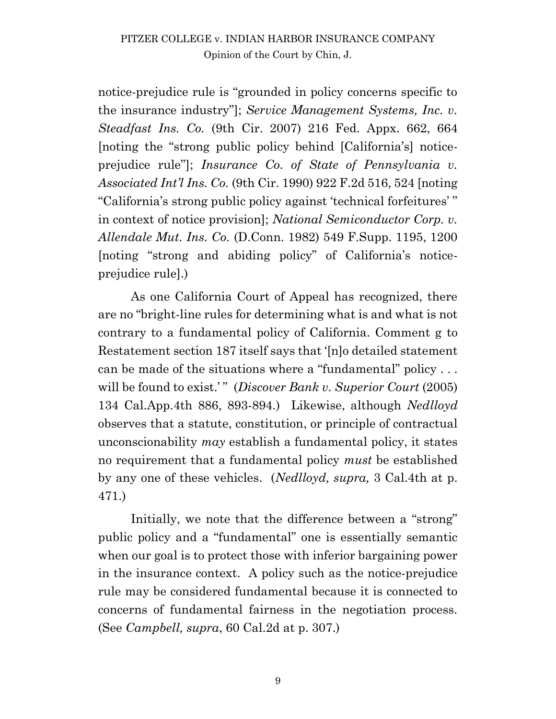notice-prejudice rule is "grounded in policy concerns specific to the insurance industry"]; *Service Management Systems, Inc. v. Steadfast Ins. Co.* (9th Cir. 2007) 216 Fed. Appx. 662, 664 [noting the "strong public policy behind [California's] noticeprejudice rule"]; *Insurance Co. of State of Pennsylvania v. Associated Int'l Ins. Co.* (9th Cir. 1990) 922 F.2d 516, 524 [noting "California's strong public policy against 'technical forfeitures' " in context of notice provision]; *National Semiconductor Corp. v. Allendale Mut. Ins. Co.* (D.Conn. 1982) 549 F.Supp. 1195, 1200 [noting "strong and abiding policy" of California's noticeprejudice rule].)

As one California Court of Appeal has recognized, there are no "bright-line rules for determining what is and what is not contrary to a fundamental policy of California. Comment g to Restatement section 187 itself says that '[n]o detailed statement can be made of the situations where a "fundamental" policy . . . will be found to exist.'" (*Discover Bank v. Superior Court* (2005) 134 Cal.App.4th 886, 893-894.) Likewise, although *Nedlloyd*  observes that a statute, constitution, or principle of contractual unconscionability *may* establish a fundamental policy, it states no requirement that a fundamental policy *must* be established by any one of these vehicles. (*Nedlloyd, supra,* 3 Cal.4th at p. 471.)

Initially, we note that the difference between a "strong" public policy and a "fundamental" one is essentially semantic when our goal is to protect those with inferior bargaining power in the insurance context. A policy such as the notice-prejudice rule may be considered fundamental because it is connected to concerns of fundamental fairness in the negotiation process. (See *Campbell, supra*, 60 Cal.2d at p. 307.)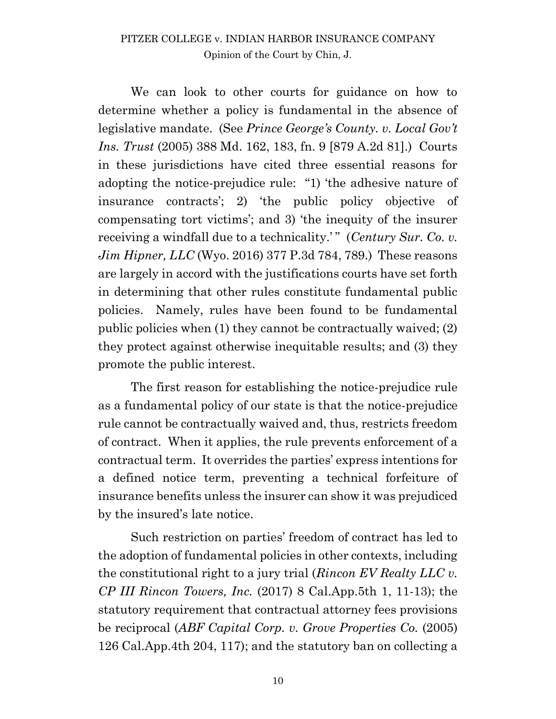We can look to other courts for guidance on how to determine whether a policy is fundamental in the absence of legislative mandate. (See *Prince George's County. v. Local Gov't Ins. Trust* (2005) 388 Md. 162, 183, fn. 9 [879 A.2d 81].) Courts in these jurisdictions have cited three essential reasons for adopting the notice-prejudice rule: "1) 'the adhesive nature of insurance contracts'; 2) 'the public policy objective of compensating tort victims'; and 3) 'the inequity of the insurer receiving a windfall due to a technicality.<sup>'</sup>" (*Century Sur. Co. v. Jim Hipner, LLC* (Wyo. 2016) 377 P.3d 784, 789.) These reasons are largely in accord with the justifications courts have set forth in determining that other rules constitute fundamental public policies. Namely, rules have been found to be fundamental public policies when (1) they cannot be contractually waived; (2) they protect against otherwise inequitable results; and (3) they promote the public interest.

The first reason for establishing the notice-prejudice rule as a fundamental policy of our state is that the notice-prejudice rule cannot be contractually waived and, thus, restricts freedom of contract. When it applies, the rule prevents enforcement of a contractual term. It overrides the parties' express intentions for a defined notice term, preventing a technical forfeiture of insurance benefits unless the insurer can show it was prejudiced by the insured's late notice.

Such restriction on parties' freedom of contract has led to the adoption of fundamental policies in other contexts, including the constitutional right to a jury trial (*Rincon EV Realty LLC v. CP III Rincon Towers, Inc.* (2017) 8 Cal.App.5th 1, 11-13); the statutory requirement that contractual attorney fees provisions be reciprocal (*ABF Capital Corp. v. Grove Properties Co.* (2005) 126 Cal.App.4th 204, 117); and the statutory ban on collecting a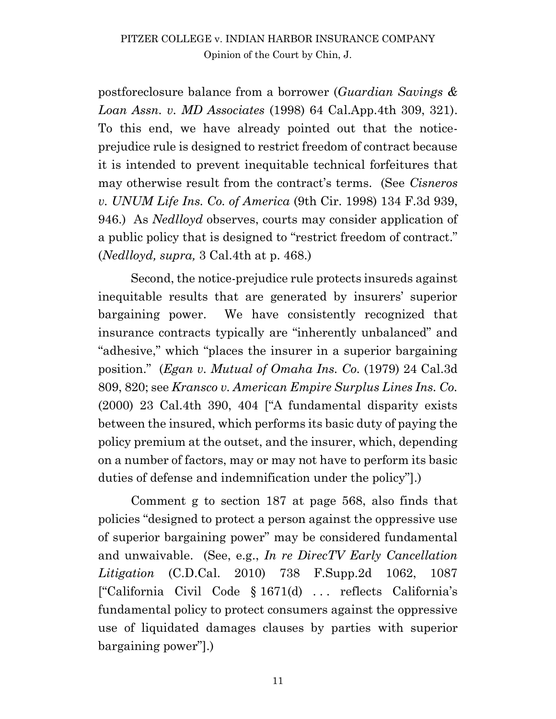postforeclosure balance from a borrower (*Guardian Savings & Loan Assn. v. MD Associates* (1998) 64 Cal.App.4th 309, 321). To this end, we have already pointed out that the noticeprejudice rule is designed to restrict freedom of contract because it is intended to prevent inequitable technical forfeitures that may otherwise result from the contract's terms. (See *Cisneros v. UNUM Life Ins. Co. of America* (9th Cir. 1998) 134 F.3d 939, 946.) As *Nedlloyd* observes, courts may consider application of a public policy that is designed to "restrict freedom of contract." (*Nedlloyd, supra,* 3 Cal.4th at p. 468.)

Second, the notice-prejudice rule protects insureds against inequitable results that are generated by insurers' superior bargaining power. We have consistently recognized that insurance contracts typically are "inherently unbalanced" and "adhesive," which "places the insurer in a superior bargaining position." (*Egan v. Mutual of Omaha Ins. Co.* (1979) 24 Cal.3d 809, 820; see *Kransco v. American Empire Surplus Lines Ins. Co.* (2000) 23 Cal.4th 390, 404 ["A fundamental disparity exists between the insured, which performs its basic duty of paying the policy premium at the outset, and the insurer, which, depending on a number of factors, may or may not have to perform its basic duties of defense and indemnification under the policy"].)

Comment g to section 187 at page 568, also finds that policies "designed to protect a person against the oppressive use of superior bargaining power" may be considered fundamental and unwaivable. (See, e.g., *In re DirecTV Early Cancellation Litigation* (C.D.Cal. 2010) 738 F.Supp.2d 1062, 1087 ["California Civil Code § 1671(d) . . . reflects California's fundamental policy to protect consumers against the oppressive use of liquidated damages clauses by parties with superior bargaining power"].)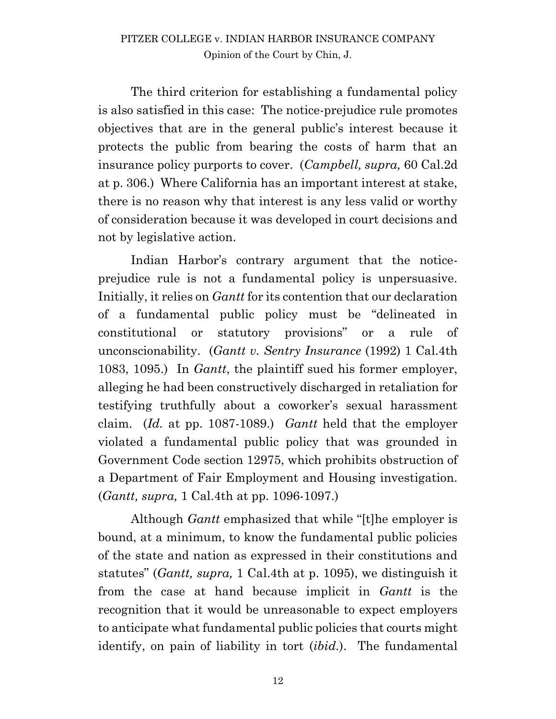The third criterion for establishing a fundamental policy is also satisfied in this case: The notice-prejudice rule promotes objectives that are in the general public's interest because it protects the public from bearing the costs of harm that an insurance policy purports to cover. (*Campbell, supra,* 60 Cal.2d at p. 306.) Where California has an important interest at stake, there is no reason why that interest is any less valid or worthy of consideration because it was developed in court decisions and not by legislative action.

Indian Harbor's contrary argument that the noticeprejudice rule is not a fundamental policy is unpersuasive. Initially, it relies on *Gantt* for its contention that our declaration of a fundamental public policy must be "delineated in constitutional or statutory provisions" or a rule of unconscionability. (*Gantt v. Sentry Insurance* (1992) 1 Cal.4th 1083, 1095.) In *Gantt*, the plaintiff sued his former employer, alleging he had been constructively discharged in retaliation for testifying truthfully about a coworker's sexual harassment claim. (*Id.* at pp. 1087-1089.) *Gantt* held that the employer violated a fundamental public policy that was grounded in Government Code section 12975, which prohibits obstruction of a Department of Fair Employment and Housing investigation. (*Gantt, supra,* 1 Cal.4th at pp. 1096-1097.)

Although *Gantt* emphasized that while "[t]he employer is bound, at a minimum, to know the fundamental public policies of the state and nation as expressed in their constitutions and statutes" (*Gantt, supra,* 1 Cal.4th at p. 1095), we distinguish it from the case at hand because implicit in *Gantt* is the recognition that it would be unreasonable to expect employers to anticipate what fundamental public policies that courts might identify, on pain of liability in tort (*ibid.*). The fundamental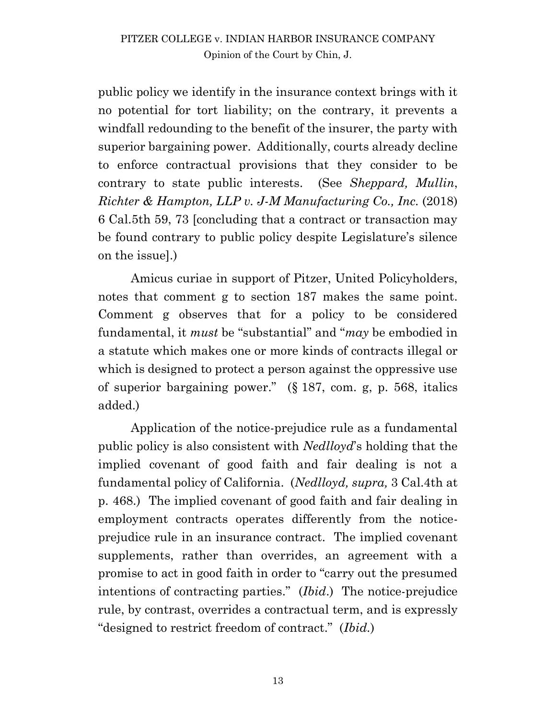public policy we identify in the insurance context brings with it no potential for tort liability; on the contrary, it prevents a windfall redounding to the benefit of the insurer, the party with superior bargaining power. Additionally, courts already decline to enforce contractual provisions that they consider to be contrary to state public interests. (See *Sheppard, Mullin*, *Richter & Hampton, LLP v. J-M Manufacturing Co., Inc.* (2018) 6 Cal.5th 59, 73 [concluding that a contract or transaction may be found contrary to public policy despite Legislature's silence on the issue].)

Amicus curiae in support of Pitzer, United Policyholders, notes that comment g to section 187 makes the same point. Comment g observes that for a policy to be considered fundamental, it *must* be "substantial" and "*may* be embodied in a statute which makes one or more kinds of contracts illegal or which is designed to protect a person against the oppressive use of superior bargaining power." (§ 187, com. g, p. 568, italics added.)

Application of the notice-prejudice rule as a fundamental public policy is also consistent with *Nedlloyd*'s holding that the implied covenant of good faith and fair dealing is not a fundamental policy of California. (*Nedlloyd, supra,* 3 Cal.4th at p. 468.) The implied covenant of good faith and fair dealing in employment contracts operates differently from the noticeprejudice rule in an insurance contract. The implied covenant supplements, rather than overrides, an agreement with a promise to act in good faith in order to "carry out the presumed intentions of contracting parties." (*Ibid*.) The notice-prejudice rule, by contrast, overrides a contractual term, and is expressly "designed to restrict freedom of contract." (*Ibid.*)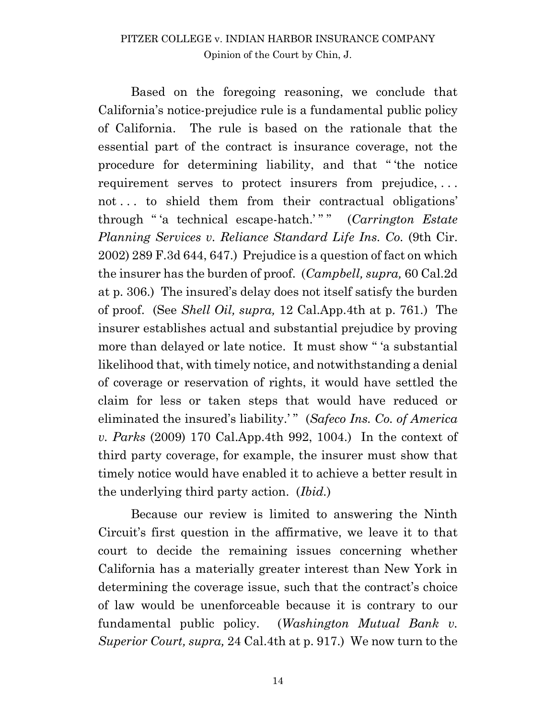Based on the foregoing reasoning, we conclude that California's notice-prejudice rule is a fundamental public policy of California. The rule is based on the rationale that the essential part of the contract is insurance coverage, not the procedure for determining liability, and that " 'the notice requirement serves to protect insurers from prejudice, . . . not . . . to shield them from their contractual obligations' through " 'a technical escape-hatch.' " " (*Carrington Estate Planning Services v. Reliance Standard Life Ins. Co.* (9th Cir. 2002) 289 F.3d 644, 647.) Prejudice is a question of fact on which the insurer has the burden of proof. (*Campbell, supra,* 60 Cal.2d at p. 306.) The insured's delay does not itself satisfy the burden of proof. (See *Shell Oil, supra,* 12 Cal.App.4th at p. 761.) The insurer establishes actual and substantial prejudice by proving more than delayed or late notice. It must show " 'a substantial likelihood that, with timely notice, and notwithstanding a denial of coverage or reservation of rights, it would have settled the claim for less or taken steps that would have reduced or eliminated the insured's liability.'" (*Safeco Ins. Co. of America*) *v. Parks* (2009) 170 Cal.App.4th 992, 1004.) In the context of third party coverage, for example, the insurer must show that timely notice would have enabled it to achieve a better result in the underlying third party action. (*Ibid.*)

Because our review is limited to answering the Ninth Circuit's first question in the affirmative, we leave it to that court to decide the remaining issues concerning whether California has a materially greater interest than New York in determining the coverage issue, such that the contract's choice of law would be unenforceable because it is contrary to our fundamental public policy. (*Washington Mutual Bank v. Superior Court, supra,* 24 Cal.4th at p. 917.) We now turn to the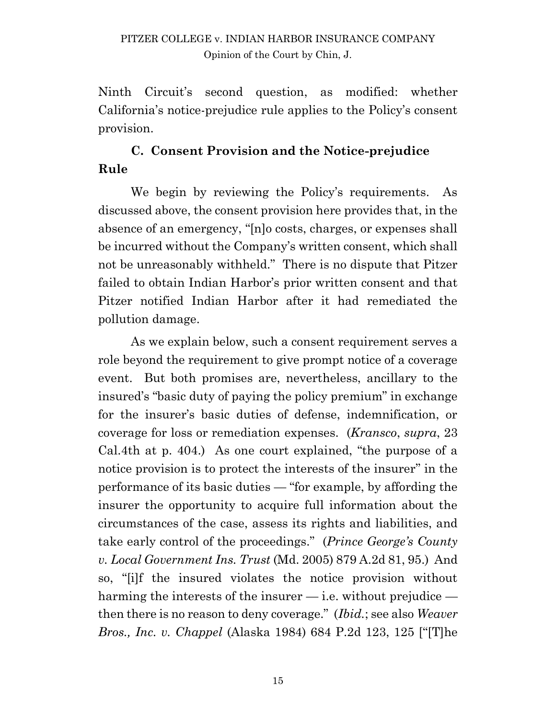Ninth Circuit's second question, as modified: whether California's notice-prejudice rule applies to the Policy's consent provision.

# **C. Consent Provision and the Notice-prejudice Rule**

We begin by reviewing the Policy's requirements. As discussed above, the consent provision here provides that, in the absence of an emergency, "[n]o costs, charges, or expenses shall be incurred without the Company's written consent, which shall not be unreasonably withheld." There is no dispute that Pitzer failed to obtain Indian Harbor's prior written consent and that Pitzer notified Indian Harbor after it had remediated the pollution damage.

As we explain below, such a consent requirement serves a role beyond the requirement to give prompt notice of a coverage event. But both promises are, nevertheless, ancillary to the insured's "basic duty of paying the policy premium" in exchange for the insurer's basic duties of defense, indemnification, or coverage for loss or remediation expenses. (*Kransco*, *supra*, 23 Cal.4th at p. 404.) As one court explained, "the purpose of a notice provision is to protect the interests of the insurer" in the performance of its basic duties — "for example, by affording the insurer the opportunity to acquire full information about the circumstances of the case, assess its rights and liabilities, and take early control of the proceedings." (*Prince George's County v. Local Government Ins. Trust* (Md. 2005) 879 A.2d 81, 95.) And so, "[i]f the insured violates the notice provision without harming the interests of the insurer  $-$  i.e. without prejudice  $$ then there is no reason to deny coverage." (*Ibid.*; see also *Weaver Bros., Inc. v. Chappel* (Alaska 1984) 684 P.2d 123, 125 ["[T]he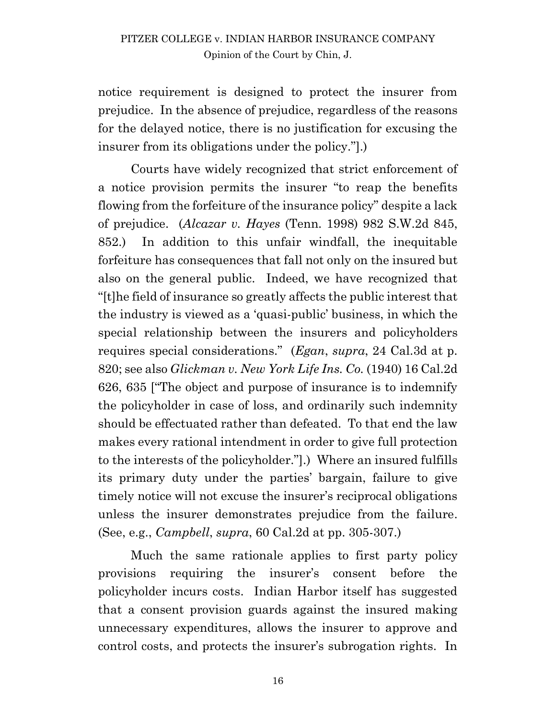notice requirement is designed to protect the insurer from prejudice. In the absence of prejudice, regardless of the reasons for the delayed notice, there is no justification for excusing the insurer from its obligations under the policy."].)

Courts have widely recognized that strict enforcement of a notice provision permits the insurer "to reap the benefits flowing from the forfeiture of the insurance policy" despite a lack of prejudice. (*Alcazar v. Hayes* (Tenn. 1998) 982 S.W.2d 845, 852.) In addition to this unfair windfall, the inequitable forfeiture has consequences that fall not only on the insured but also on the general public. Indeed, we have recognized that "[t]he field of insurance so greatly affects the public interest that the industry is viewed as a 'quasi-public' business, in which the special relationship between the insurers and policyholders requires special considerations." (*Egan*, *supra*, 24 Cal.3d at p. 820; see also *Glickman v. New York Life Ins. Co.* (1940) 16 Cal.2d 626, 635 ["The object and purpose of insurance is to indemnify the policyholder in case of loss, and ordinarily such indemnity should be effectuated rather than defeated. To that end the law makes every rational intendment in order to give full protection to the interests of the policyholder."].) Where an insured fulfills its primary duty under the parties' bargain, failure to give timely notice will not excuse the insurer's reciprocal obligations unless the insurer demonstrates prejudice from the failure. (See, e.g., *Campbell*, *supra*, 60 Cal.2d at pp. 305-307.)

Much the same rationale applies to first party policy provisions requiring the insurer's consent before the policyholder incurs costs. Indian Harbor itself has suggested that a consent provision guards against the insured making unnecessary expenditures, allows the insurer to approve and control costs, and protects the insurer's subrogation rights. In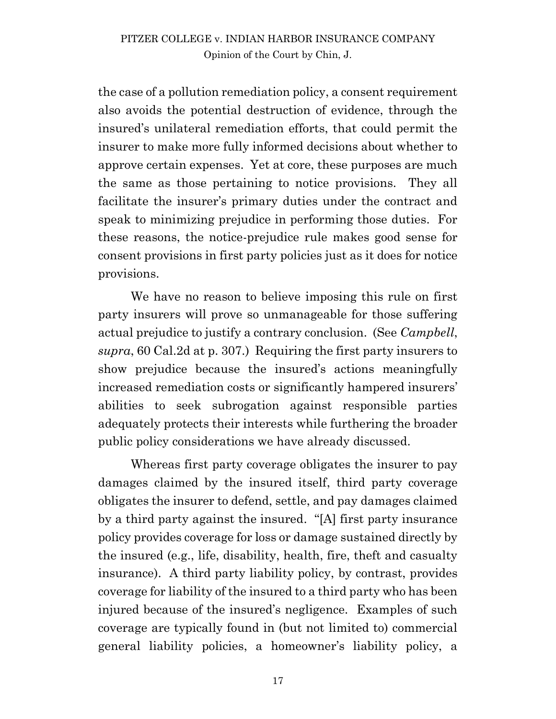the case of a pollution remediation policy, a consent requirement also avoids the potential destruction of evidence, through the insured's unilateral remediation efforts, that could permit the insurer to make more fully informed decisions about whether to approve certain expenses. Yet at core, these purposes are much the same as those pertaining to notice provisions. They all facilitate the insurer's primary duties under the contract and speak to minimizing prejudice in performing those duties. For these reasons, the notice-prejudice rule makes good sense for consent provisions in first party policies just as it does for notice provisions.

We have no reason to believe imposing this rule on first party insurers will prove so unmanageable for those suffering actual prejudice to justify a contrary conclusion. (See *Campbell*, *supra*, 60 Cal.2d at p. 307.) Requiring the first party insurers to show prejudice because the insured's actions meaningfully increased remediation costs or significantly hampered insurers' abilities to seek subrogation against responsible parties adequately protects their interests while furthering the broader public policy considerations we have already discussed.

Whereas first party coverage obligates the insurer to pay damages claimed by the insured itself, third party coverage obligates the insurer to defend, settle, and pay damages claimed by a third party against the insured. "[A] first party insurance policy provides coverage for loss or damage sustained directly by the insured (e.g., life, disability, health, fire, theft and casualty insurance). A third party liability policy, by contrast, provides coverage for liability of the insured to a third party who has been injured because of the insured's negligence. Examples of such coverage are typically found in (but not limited to) commercial general liability policies, a homeowner's liability policy, a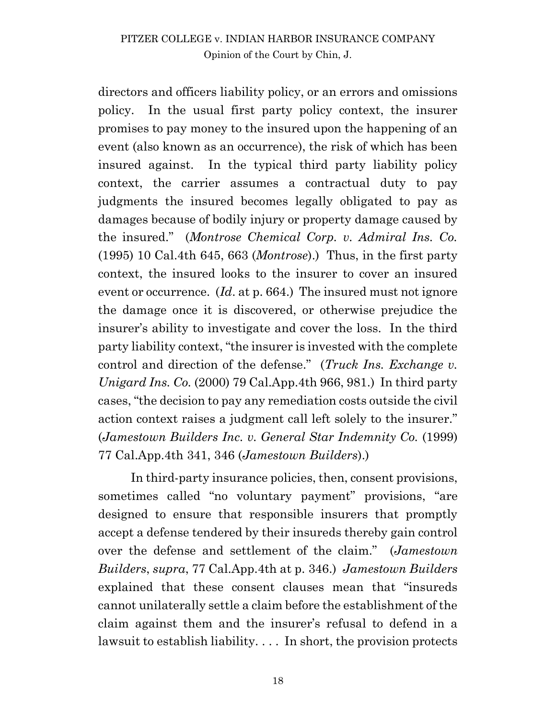directors and officers liability policy, or an errors and omissions policy. In the usual first party policy context, the insurer promises to pay money to the insured upon the happening of an event (also known as an occurrence), the risk of which has been insured against. In the typical third party liability policy context, the carrier assumes a contractual duty to pay judgments the insured becomes legally obligated to pay as damages because of bodily injury or property damage caused by the insured." (*Montrose Chemical Corp. v. Admiral Ins. Co.*  (1995) 10 Cal.4th 645, 663 (*Montrose*).) Thus, in the first party context, the insured looks to the insurer to cover an insured event or occurrence. (*Id*. at p. 664.) The insured must not ignore the damage once it is discovered, or otherwise prejudice the insurer's ability to investigate and cover the loss. In the third party liability context, "the insurer is invested with the complete control and direction of the defense." (*Truck Ins. Exchange v. Unigard Ins. Co.* (2000) 79 Cal.App.4th 966, 981.) In third party cases, "the decision to pay any remediation costs outside the civil action context raises a judgment call left solely to the insurer." (*Jamestown Builders Inc. v. General Star Indemnity Co.* (1999) 77 Cal.App.4th 341, 346 (*Jamestown Builders*).)

In third-party insurance policies, then, consent provisions, sometimes called "no voluntary payment" provisions, "are designed to ensure that responsible insurers that promptly accept a defense tendered by their insureds thereby gain control over the defense and settlement of the claim." (*Jamestown Builders*, *supra*, 77 Cal.App.4th at p. 346.) *Jamestown Builders* explained that these consent clauses mean that "insureds cannot unilaterally settle a claim before the establishment of the claim against them and the insurer's refusal to defend in a lawsuit to establish liability. . . . In short, the provision protects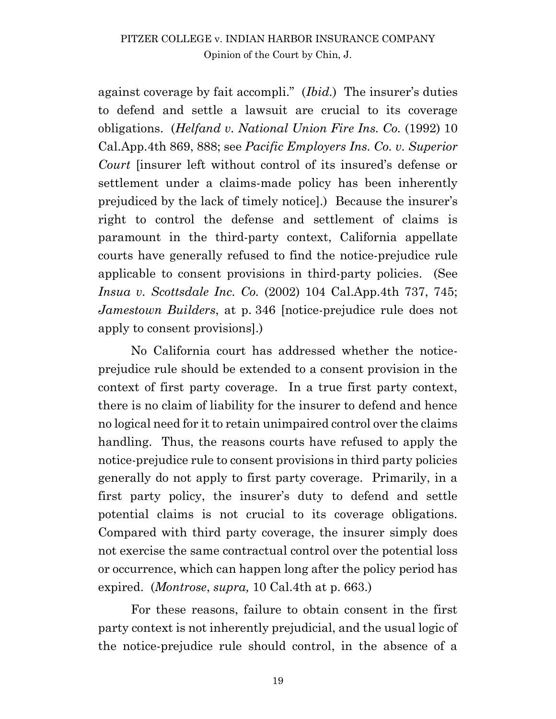against coverage by fait accompli." (*Ibid.*) The insurer's duties to defend and settle a lawsuit are crucial to its coverage obligations. (*Helfand v. National Union Fire Ins. Co.* (1992) 10 Cal.App.4th 869, 888; see *Pacific Employers Ins. Co. v. Superior Court* [insurer left without control of its insured's defense or settlement under a claims-made policy has been inherently prejudiced by the lack of timely notice].) Because the insurer's right to control the defense and settlement of claims is paramount in the third-party context, California appellate courts have generally refused to find the notice-prejudice rule applicable to consent provisions in third-party policies. (See *Insua v. Scottsdale Inc. Co.* (2002) 104 Cal.App.4th 737, 745; *Jamestown Builders*, at p. 346 [notice-prejudice rule does not apply to consent provisions].)

No California court has addressed whether the noticeprejudice rule should be extended to a consent provision in the context of first party coverage. In a true first party context, there is no claim of liability for the insurer to defend and hence no logical need for it to retain unimpaired control over the claims handling. Thus, the reasons courts have refused to apply the notice-prejudice rule to consent provisions in third party policies generally do not apply to first party coverage. Primarily, in a first party policy, the insurer's duty to defend and settle potential claims is not crucial to its coverage obligations. Compared with third party coverage, the insurer simply does not exercise the same contractual control over the potential loss or occurrence, which can happen long after the policy period has expired. (*Montrose*, *supra,* 10 Cal.4th at p. 663.)

For these reasons, failure to obtain consent in the first party context is not inherently prejudicial, and the usual logic of the notice-prejudice rule should control, in the absence of a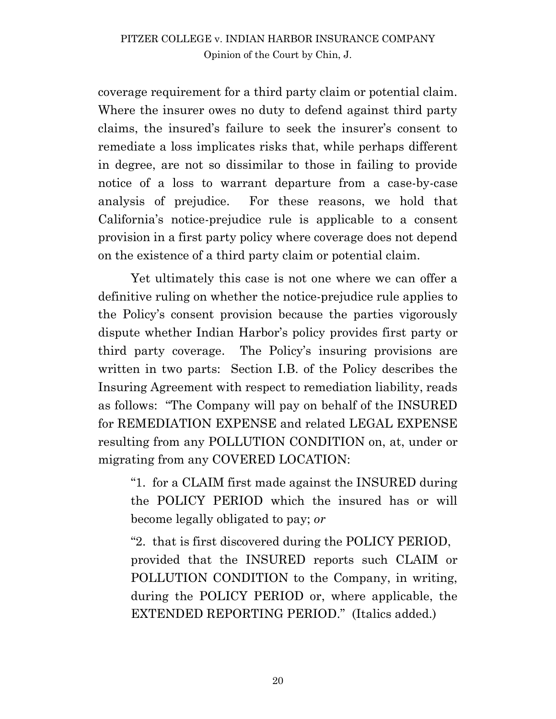coverage requirement for a third party claim or potential claim. Where the insurer owes no duty to defend against third party claims, the insured's failure to seek the insurer's consent to remediate a loss implicates risks that, while perhaps different in degree, are not so dissimilar to those in failing to provide notice of a loss to warrant departure from a case-by-case analysis of prejudice. For these reasons, we hold that California's notice-prejudice rule is applicable to a consent provision in a first party policy where coverage does not depend on the existence of a third party claim or potential claim.

Yet ultimately this case is not one where we can offer a definitive ruling on whether the notice-prejudice rule applies to the Policy's consent provision because the parties vigorously dispute whether Indian Harbor's policy provides first party or third party coverage. The Policy's insuring provisions are written in two parts: Section I.B. of the Policy describes the Insuring Agreement with respect to remediation liability, reads as follows: "The Company will pay on behalf of the INSURED for REMEDIATION EXPENSE and related LEGAL EXPENSE resulting from any POLLUTION CONDITION on, at, under or migrating from any COVERED LOCATION:

"1. for a CLAIM first made against the INSURED during the POLICY PERIOD which the insured has or will become legally obligated to pay; *or*

"2. that is first discovered during the POLICY PERIOD, provided that the INSURED reports such CLAIM or POLLUTION CONDITION to the Company, in writing, during the POLICY PERIOD or, where applicable, the EXTENDED REPORTING PERIOD." (Italics added.)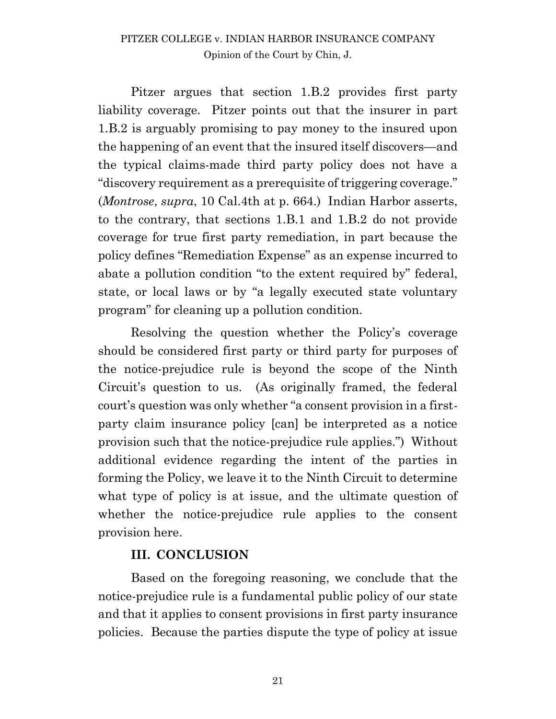Pitzer argues that section 1.B.2 provides first party liability coverage. Pitzer points out that the insurer in part 1.B.2 is arguably promising to pay money to the insured upon the happening of an event that the insured itself discovers—and the typical claims-made third party policy does not have a "discovery requirement as a prerequisite of triggering coverage." (*Montrose*, *supra*, 10 Cal.4th at p. 664.) Indian Harbor asserts, to the contrary, that sections 1.B.1 and 1.B.2 do not provide coverage for true first party remediation, in part because the policy defines "Remediation Expense" as an expense incurred to abate a pollution condition "to the extent required by" federal, state, or local laws or by "a legally executed state voluntary program" for cleaning up a pollution condition.

Resolving the question whether the Policy's coverage should be considered first party or third party for purposes of the notice-prejudice rule is beyond the scope of the Ninth Circuit's question to us. (As originally framed, the federal court's question was only whether "a consent provision in a firstparty claim insurance policy [can] be interpreted as a notice provision such that the notice-prejudice rule applies.") Without additional evidence regarding the intent of the parties in forming the Policy, we leave it to the Ninth Circuit to determine what type of policy is at issue, and the ultimate question of whether the notice-prejudice rule applies to the consent provision here.

## **III. CONCLUSION**

Based on the foregoing reasoning, we conclude that the notice-prejudice rule is a fundamental public policy of our state and that it applies to consent provisions in first party insurance policies. Because the parties dispute the type of policy at issue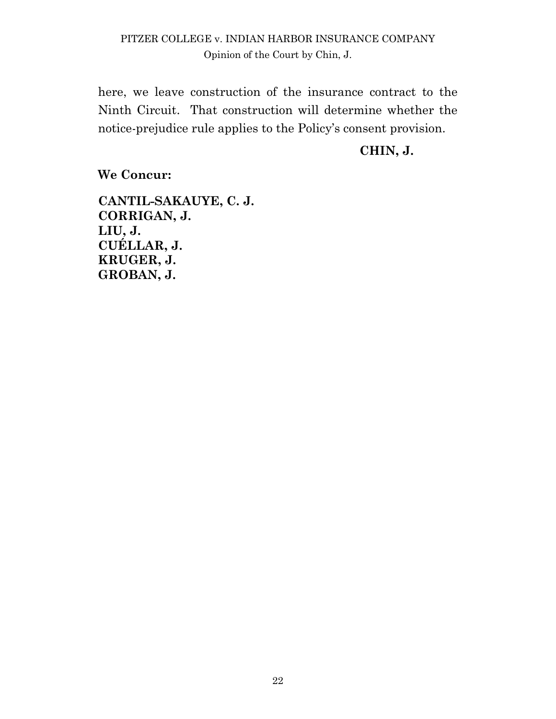here, we leave construction of the insurance contract to the Ninth Circuit. That construction will determine whether the notice-prejudice rule applies to the Policy's consent provision.

#### **CHIN, J.**

**We Concur:**

**CANTIL-SAKAUYE, C. J. CORRIGAN, J. LIU, J. CUÉLLAR, J. KRUGER, J. GROBAN, J.**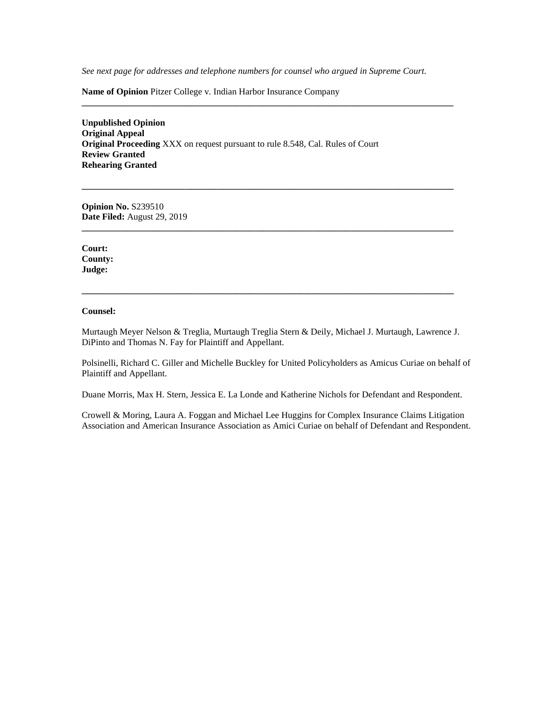*See next page for addresses and telephone numbers for counsel who argued in Supreme Court.*

**\_\_\_\_\_\_\_\_\_\_\_\_\_\_\_\_\_\_\_\_\_\_\_\_\_\_\_\_\_\_\_\_\_\_\_\_\_\_\_\_\_\_\_\_\_\_\_\_\_\_\_\_\_\_\_\_\_\_\_\_\_\_\_\_\_\_\_\_\_\_\_\_\_\_\_\_\_\_\_\_\_\_**

**\_\_\_\_\_\_\_\_\_\_\_\_\_\_\_\_\_\_\_\_\_\_\_\_\_\_\_\_\_\_\_\_\_\_\_\_\_\_\_\_\_\_\_\_\_\_\_\_\_\_\_\_\_\_\_\_\_\_\_\_\_\_\_\_\_\_\_\_\_\_\_\_\_\_\_\_\_\_\_\_\_\_**

**\_\_\_\_\_\_\_\_\_\_\_\_\_\_\_\_\_\_\_\_\_\_\_\_\_\_\_\_\_\_\_\_\_\_\_\_\_\_\_\_\_\_\_\_\_\_\_\_\_\_\_\_\_\_\_\_\_\_\_\_\_\_\_\_\_\_\_\_\_\_\_\_\_\_\_\_\_\_\_\_\_\_**

**\_\_\_\_\_\_\_\_\_\_\_\_\_\_\_\_\_\_\_\_\_\_\_\_\_\_\_\_\_\_\_\_\_\_\_\_\_\_\_\_\_\_\_\_\_\_\_\_\_\_\_\_\_\_\_\_\_\_\_\_\_\_\_\_\_\_\_\_\_\_\_\_\_\_\_\_\_\_\_\_\_\_**

**Name of Opinion** Pitzer College v. Indian Harbor Insurance Company

**Unpublished Opinion Original Appeal Original Proceeding** XXX on request pursuant to rule 8.548, Cal. Rules of Court **Review Granted Rehearing Granted**

**Opinion No.** S239510 **Date Filed:** August 29, 2019

**Court: County: Judge:**

#### **Counsel:**

Murtaugh Meyer Nelson & Treglia, Murtaugh Treglia Stern & Deily, Michael J. Murtaugh, Lawrence J. DiPinto and Thomas N. Fay for Plaintiff and Appellant.

Polsinelli, Richard C. Giller and Michelle Buckley for United Policyholders as Amicus Curiae on behalf of Plaintiff and Appellant.

Duane Morris, Max H. Stern, Jessica E. La Londe and Katherine Nichols for Defendant and Respondent.

Crowell & Moring, Laura A. Foggan and Michael Lee Huggins for Complex Insurance Claims Litigation Association and American Insurance Association as Amici Curiae on behalf of Defendant and Respondent.